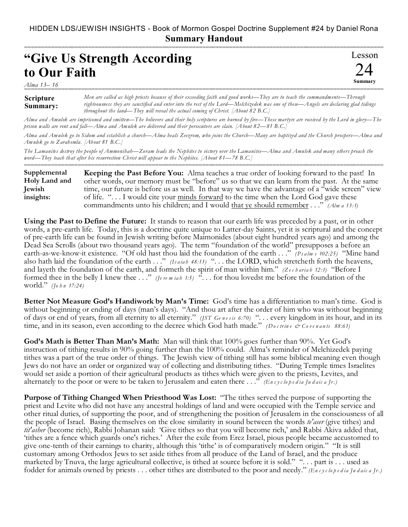===========================================================================================================

Lesson

24 **Summary**

## **"Give Us Strength According to Our Faith**

*Alma 13– 16* ===========================================================================================================

## **Scripture Summary:** *Men are called as high priests because of their exceeding faith and good works—They are to teach the commandments—Through righteousness they are sanctified and enter into the rest of the Lord—Melchizedek was one of these—Angels are declaring glad tidings throughout the land—They will reveal the actual coming of Christ. [About 82 B.C.]*

*Alma and Amulek are imprisoned and smitten—The believers and their holy scriptures are burned by fire—These martyrs are received by the Lord in glory—The prison walls are rent and fall—Alma and Amulek are delivered and their persecutors are slain. [About 82—81 B.C.]*

*Alma and Amulek go to Sidom and establish a church—Alma heals Zeezrom, who joins the Church—Many are baptized and the Church prospers—Alma and Amulek go to Zarahemla. [About 81 B.C.]*

*The Lamanites destroy the people of Ammonihah—Zoram leads the Nephites to victory over the Lamanites—Alma and Amulek and many others preach the word—They teach that after his resurrection Christ will appear to the Nephites. [About 81—78 B.C.]*

**Keeping the Past Before You:** Alma teaches a true order of looking forward to the past! In other words, our memory must be "before" us so that we can learn from the past. At the same time, our future is before us as well. In that way we have the advantage of a "wide screen" view of life. "... I would cite your minds forward to the time when the Lord God gave these commandments unto his children; and I would that ye should remember . . ." *(Alm a 13:1)* **Supplemental Holy Land and Jewish insights:**

===========================================================================================================

**Using the Past to Define the Future:** It stands to reason that our earth life was preceded by a past, or in other words, a pre-earth life. Today, this is a doctrine quite unique to Latter-day Saints, yet it is scriptural and the concept of pre-earth life can be found in Jewish writing before Maimonides (about eight hundred years ago) and among the Dead Sea Scrolls (about two thousand years ago). The term "foundation of the world" presupposes a before an earth-as-we-know-it existence. "Of old hast thou laid the foundation of the earth . . ." *(P s a lm s 102:25)* "Mine hand also hath laid the foundation of the earth ..." *(Isaiah 48:13)* "... the LORD, which stretcheth forth the heavens, and layeth the foundation of the earth, and formeth the spirit of man within him." *(Z e c h aria h 12:1)* "Before I formed thee in the belly I knew thee . . ." *(Je re m ia h 1:5)* ". . . for thou lovedst me before the foundation of the world." *(Jo h n 17:24)*

**Better Not Measure God's Handiwork by Man's Time:** God's time has a differentiation to man's time. God is without beginning or ending of days (man's days). "And thou art after the order of him who was without beginning of days or end of years, from all eternity to all eternity." *(JST Ge n e s is 6:70)* ". . . every kingdom in its hour, and in its time, and in its season, even according to the decree which God hath made." *(Doctrine & Covenants 88:61)* 

**God's Math is Better Than Man's Math:** Man will think that 100% goes further than 90%. Yet God's instruction of tithing results in 90% going further than the 100% could. Alma's reminder of Melchizedek paying tithes was a part of the true order of things. The Jewish view of tithing still has some biblical meaning even though Jews do not have an order or organized way of collecting and distributing tithes. "During Temple times Israelites would set aside a portion of their agricultural products as tithes which were given to the priests, Levites, and alternately to the poor or were to be taken to Jerusalem and eaten there  $\ldots$ ." *(Encyclopedia Judaica Ir.)* 

**Purpose of Tithing Changed When Priesthood Was Lost:** "The tithes served the purpose of supporting the priest and Levite who did not have any ancestral holdings of land and were occupied with the Temple service and other ritual duties, of supporting the poor, and of strengthening the position of Jerusalem in the consciousness of all the people of Israel. Basing themselves on the close similarity in sound between the words *te'aser* (give tithes) and *tit'asher* (become rich), Rabbi Johanan said: 'Give tithes so that you will become rich,' and Rabbi Akiva added that, 'tithes are a fence which guards one's riches.' After the exile from Erez Israel, pious people became accustomed to give one-tenth of their earnings to charity, although this 'tithe' is of comparatively modern origin." "It is still customary among Orthodox Jews to set aside tithes from all produce of the Land of Israel, and the produce marketed by Tnuva, the large agricultural collective, is tithed at source before it is sold." "... part is ... used as fodder for animals owned by priests . . . other tithes are distributed to the poor and needy." *(En c y c lo p e d ia Ju d aic a Jr.)*